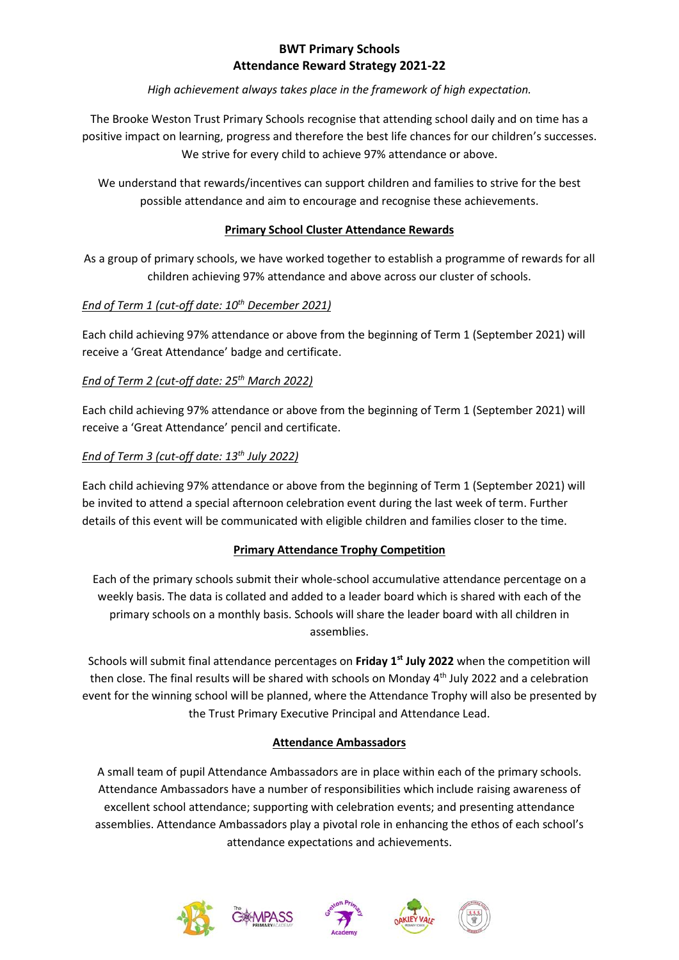# **BWT Primary Schools Attendance Reward Strategy 2021-22**

### *High achievement always takes place in the framework of high expectation.*

The Brooke Weston Trust Primary Schools recognise that attending school daily and on time has a positive impact on learning, progress and therefore the best life chances for our children's successes. We strive for every child to achieve 97% attendance or above.

We understand that rewards/incentives can support children and families to strive for the best possible attendance and aim to encourage and recognise these achievements.

# **Primary School Cluster Attendance Rewards**

As a group of primary schools, we have worked together to establish a programme of rewards for all children achieving 97% attendance and above across our cluster of schools.

### *End of Term 1 (cut-off date: 10th December 2021)*

Each child achieving 97% attendance or above from the beginning of Term 1 (September 2021) will receive a 'Great Attendance' badge and certificate.

### *End of Term 2 (cut-off date: 25 th March 2022)*

Each child achieving 97% attendance or above from the beginning of Term 1 (September 2021) will receive a 'Great Attendance' pencil and certificate.

# *End of Term 3 (cut-off date: 13th July 2022)*

Each child achieving 97% attendance or above from the beginning of Term 1 (September 2021) will be invited to attend a special afternoon celebration event during the last week of term. Further details of this event will be communicated with eligible children and families closer to the time.

#### **Primary Attendance Trophy Competition**

Each of the primary schools submit their whole-school accumulative attendance percentage on a weekly basis. The data is collated and added to a leader board which is shared with each of the primary schools on a monthly basis. Schools will share the leader board with all children in assemblies.

Schools will submit final attendance percentages on **Friday 1st July 2022** when the competition will then close. The final results will be shared with schools on Monday 4<sup>th</sup> July 2022 and a celebration event for the winning school will be planned, where the Attendance Trophy will also be presented by the Trust Primary Executive Principal and Attendance Lead.

# **Attendance Ambassadors**

A small team of pupil Attendance Ambassadors are in place within each of the primary schools. Attendance Ambassadors have a number of responsibilities which include raising awareness of excellent school attendance; supporting with celebration events; and presenting attendance assemblies. Attendance Ambassadors play a pivotal role in enhancing the ethos of each school's attendance expectations and achievements.